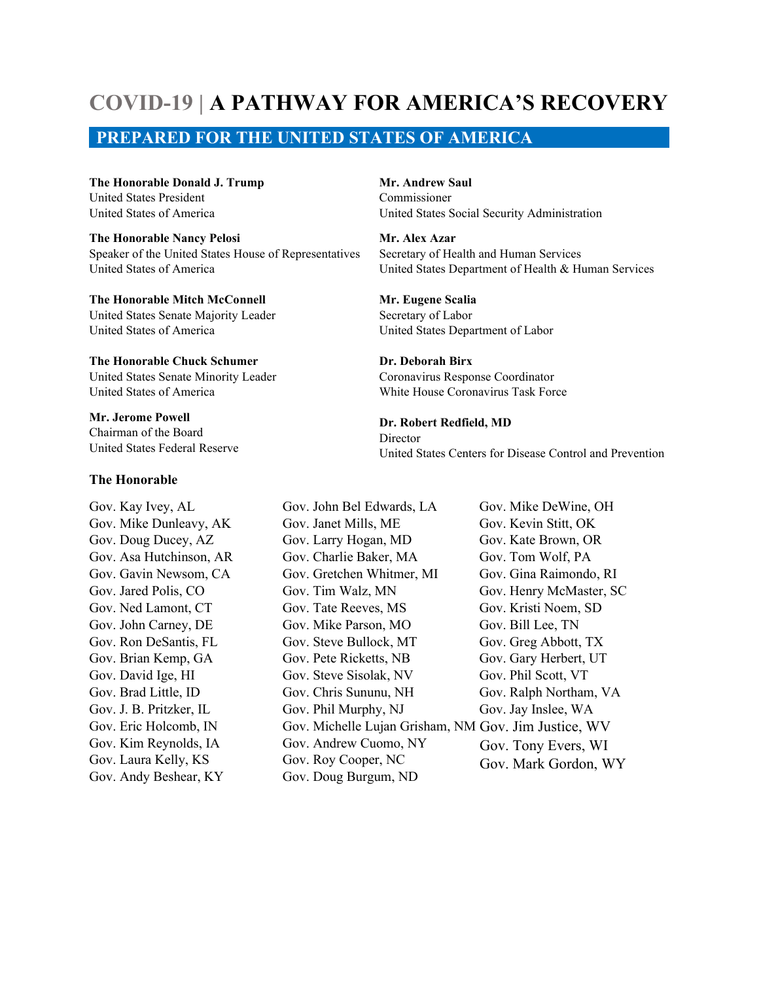## **COVID-19 | A PATHWAY FOR AMERICA'S RECOVERY**

### **PREPARED FOR THE UNITED STATES OF AMERICA**

**The Honorable Donald J. Trump** United States President United States of America

**The Honorable Nancy Pelosi** Speaker of the United States House of Representatives United States of America

**The Honorable Mitch McConnell** United States Senate Majority Leader United States of America

**The Honorable Chuck Schumer** United States Senate Minority Leader United States of America

**Mr. Jerome Powell** Chairman of the Board United States Federal Reserve

#### **The Honorable**

Gov. Kay Ivey, AL Gov. Mike Dunleavy, AK Gov. Doug Ducey, AZ Gov. Asa Hutchinson, AR Gov. Gavin Newsom, CA Gov. Jared Polis, CO Gov. Ned Lamont, CT Gov. John Carney, DE Gov. Ron DeSantis, FL Gov. Brian Kemp, GA Gov. David Ige, HI Gov. Brad Little, ID Gov. J. B. Pritzker, IL Gov. Eric Holcomb, IN Gov. Kim Reynolds, IA Gov. Laura Kelly, KS Gov. Andy Beshear, KY

**Mr. Andrew Saul** Commissioner United States Social Security Administration

**Mr. Alex Azar** Secretary of Health and Human Services United States Department of Health & Human Services

**Mr. Eugene Scalia** Secretary of Labor United States Department of Labor

**Dr. Deborah Birx** Coronavirus Response Coordinator White House Coronavirus Task Force

**Dr. Robert Redfield, MD** Director United States Centers for Disease Control and Prevention

Gov. John Bel Edwards, LA Gov. Janet Mills, ME Gov. Larry Hogan, MD Gov. Charlie Baker, MA Gov. Gretchen Whitmer, MI Gov. Tim Walz, MN Gov. Tate Reeves, MS Gov. Mike Parson, MO Gov. Steve Bullock, MT Gov. Pete Ricketts, NB Gov. Steve Sisolak, NV Gov. Chris Sununu, NH Gov. Phil Murphy, NJ Gov. Michelle Lujan Grisham, NM Gov. Jim Justice, WV Gov. Andrew Cuomo, NY Gov. Roy Cooper, NC Gov. Doug Burgum, ND Gov. Mike DeWine, OH Gov. Kevin Stitt, OK Gov. Kate Brown, OR Gov. Tom Wolf, PA Gov. Gina Raimondo, RI Gov. Henry McMaster, SC Gov. Kristi Noem, SD Gov. Bill Lee, TN Gov. Greg Abbott, TX Gov. Gary Herbert, UT Gov. Phil Scott, VT Gov. Ralph Northam, VA Gov. Jay Inslee, WA Gov. Tony Evers, WI Gov. Mark Gordon, WY